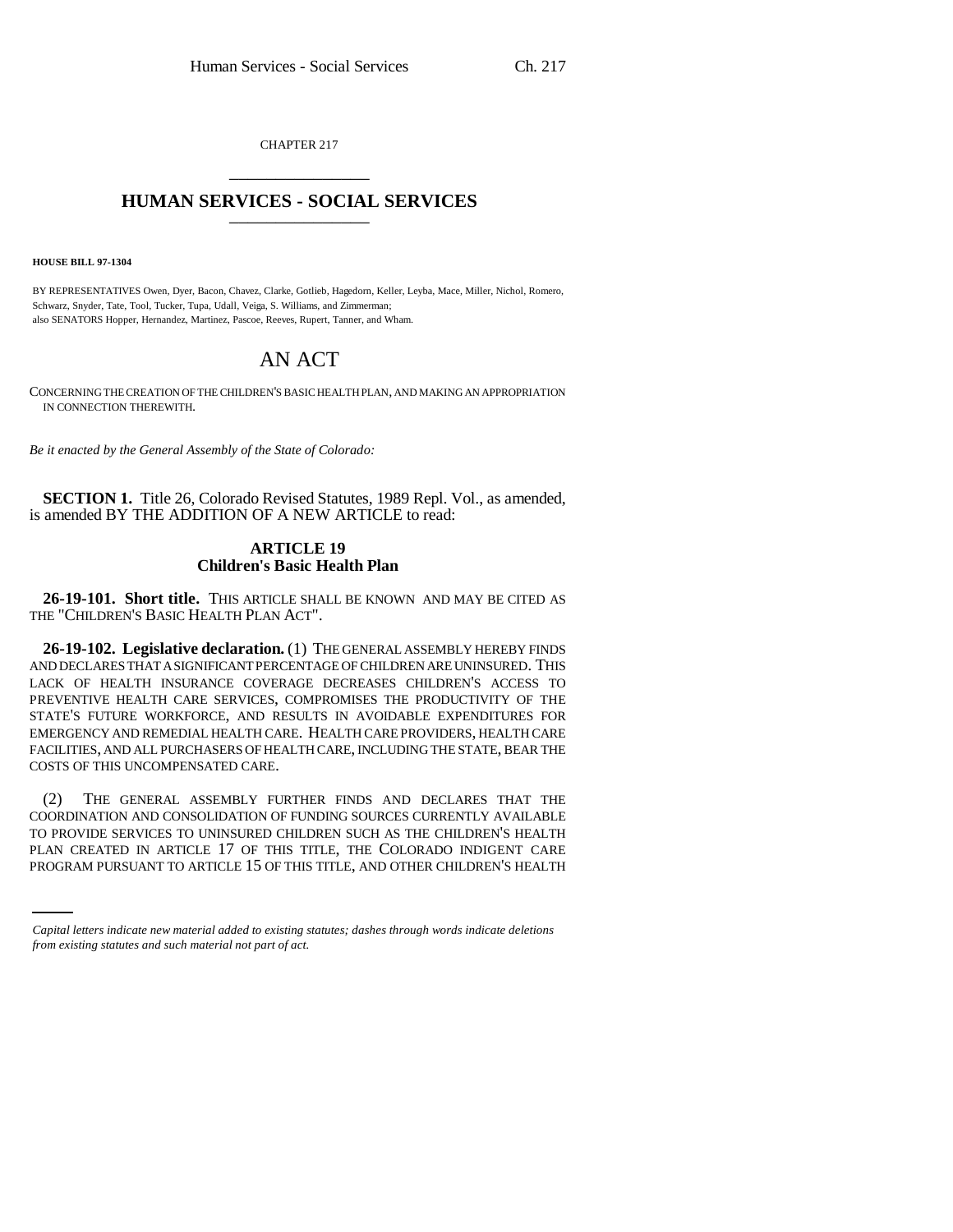CHAPTER 217 \_\_\_\_\_\_\_\_\_\_\_\_\_\_\_

## **HUMAN SERVICES - SOCIAL SERVICES** \_\_\_\_\_\_\_\_\_\_\_\_\_\_\_

**HOUSE BILL 97-1304**

BY REPRESENTATIVES Owen, Dyer, Bacon, Chavez, Clarke, Gotlieb, Hagedorn, Keller, Leyba, Mace, Miller, Nichol, Romero, Schwarz, Snyder, Tate, Tool, Tucker, Tupa, Udall, Veiga, S. Williams, and Zimmerman; also SENATORS Hopper, Hernandez, Martinez, Pascoe, Reeves, Rupert, Tanner, and Wham.

## AN ACT

CONCERNING THE CREATION OF THE CHILDREN'S BASIC HEALTH PLAN, AND MAKING AN APPROPRIATION IN CONNECTION THEREWITH.

*Be it enacted by the General Assembly of the State of Colorado:*

**SECTION 1.** Title 26, Colorado Revised Statutes, 1989 Repl. Vol., as amended, is amended BY THE ADDITION OF A NEW ARTICLE to read:

## **ARTICLE 19 Children's Basic Health Plan**

**26-19-101. Short title.** THIS ARTICLE SHALL BE KNOWN AND MAY BE CITED AS THE "CHILDREN'S BASIC HEALTH PLAN ACT".

**26-19-102. Legislative declaration.** (1) THE GENERAL ASSEMBLY HEREBY FINDS AND DECLARES THAT A SIGNIFICANT PERCENTAGE OF CHILDREN ARE UNINSURED. THIS LACK OF HEALTH INSURANCE COVERAGE DECREASES CHILDREN'S ACCESS TO PREVENTIVE HEALTH CARE SERVICES, COMPROMISES THE PRODUCTIVITY OF THE STATE'S FUTURE WORKFORCE, AND RESULTS IN AVOIDABLE EXPENDITURES FOR EMERGENCY AND REMEDIAL HEALTH CARE. HEALTH CARE PROVIDERS, HEALTH CARE FACILITIES, AND ALL PURCHASERS OF HEALTH CARE, INCLUDING THE STATE, BEAR THE COSTS OF THIS UNCOMPENSATED CARE.

TO PROVIDE SERVICES TO UNINSURED CHILDREN SUCH AS THE CHILDREN'S HEALTH (2) THE GENERAL ASSEMBLY FURTHER FINDS AND DECLARES THAT THE COORDINATION AND CONSOLIDATION OF FUNDING SOURCES CURRENTLY AVAILABLE PLAN CREATED IN ARTICLE 17 OF THIS TITLE, THE COLORADO INDIGENT CARE PROGRAM PURSUANT TO ARTICLE 15 OF THIS TITLE, AND OTHER CHILDREN'S HEALTH

*Capital letters indicate new material added to existing statutes; dashes through words indicate deletions from existing statutes and such material not part of act.*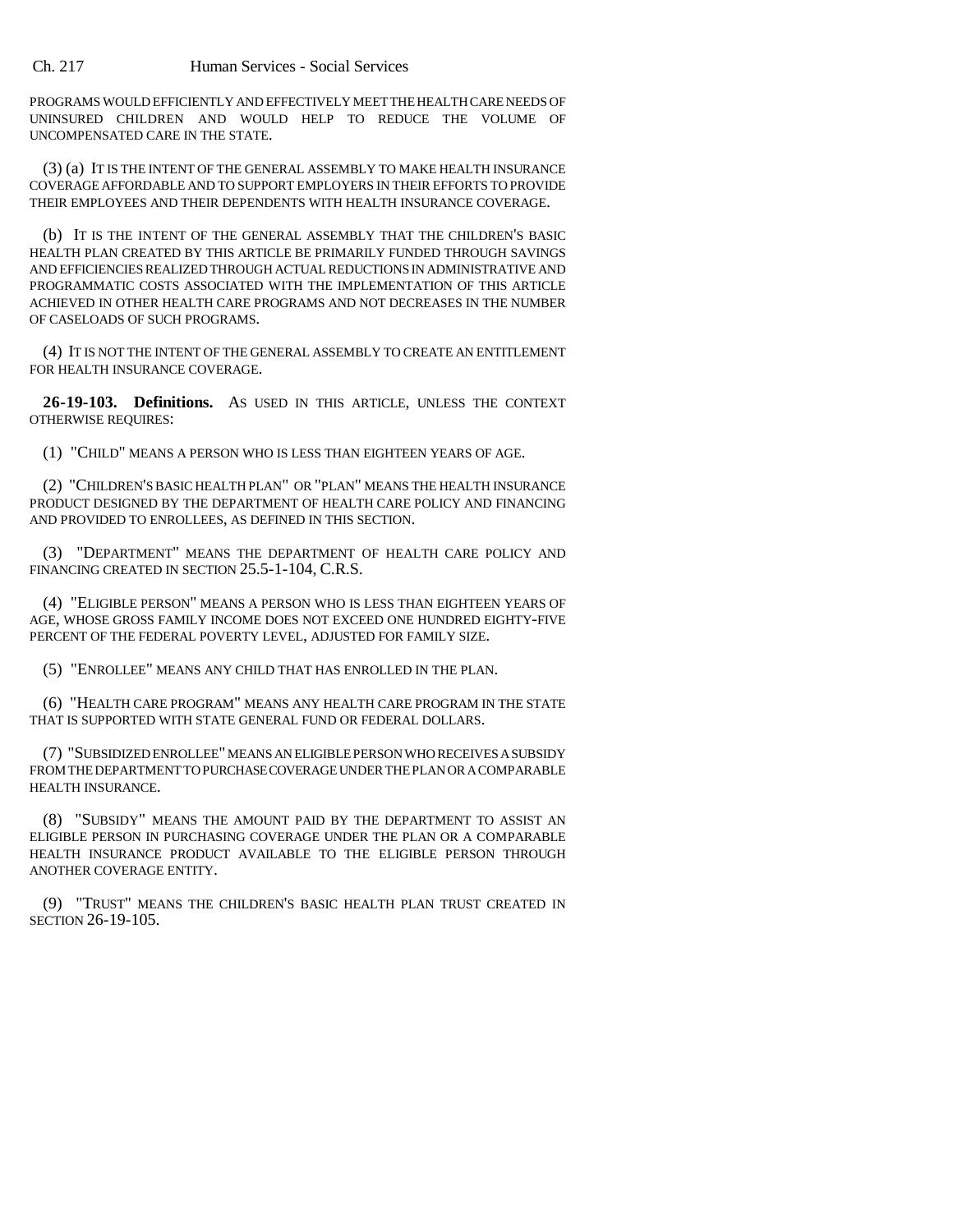PROGRAMS WOULD EFFICIENTLY AND EFFECTIVELY MEET THE HEALTH CARE NEEDS OF UNINSURED CHILDREN AND WOULD HELP TO REDUCE THE VOLUME OF UNCOMPENSATED CARE IN THE STATE.

(3) (a) IT IS THE INTENT OF THE GENERAL ASSEMBLY TO MAKE HEALTH INSURANCE COVERAGE AFFORDABLE AND TO SUPPORT EMPLOYERS IN THEIR EFFORTS TO PROVIDE THEIR EMPLOYEES AND THEIR DEPENDENTS WITH HEALTH INSURANCE COVERAGE.

(b) IT IS THE INTENT OF THE GENERAL ASSEMBLY THAT THE CHILDREN'S BASIC HEALTH PLAN CREATED BY THIS ARTICLE BE PRIMARILY FUNDED THROUGH SAVINGS AND EFFICIENCIES REALIZED THROUGH ACTUAL REDUCTIONS IN ADMINISTRATIVE AND PROGRAMMATIC COSTS ASSOCIATED WITH THE IMPLEMENTATION OF THIS ARTICLE ACHIEVED IN OTHER HEALTH CARE PROGRAMS AND NOT DECREASES IN THE NUMBER OF CASELOADS OF SUCH PROGRAMS.

(4) IT IS NOT THE INTENT OF THE GENERAL ASSEMBLY TO CREATE AN ENTITLEMENT FOR HEALTH INSURANCE COVERAGE.

**26-19-103. Definitions.** AS USED IN THIS ARTICLE, UNLESS THE CONTEXT OTHERWISE REQUIRES:

(1) "CHILD" MEANS A PERSON WHO IS LESS THAN EIGHTEEN YEARS OF AGE.

(2) "CHILDREN'S BASIC HEALTH PLAN" OR "PLAN" MEANS THE HEALTH INSURANCE PRODUCT DESIGNED BY THE DEPARTMENT OF HEALTH CARE POLICY AND FINANCING AND PROVIDED TO ENROLLEES, AS DEFINED IN THIS SECTION.

(3) "DEPARTMENT" MEANS THE DEPARTMENT OF HEALTH CARE POLICY AND FINANCING CREATED IN SECTION 25.5-1-104, C.R.S.

(4) "ELIGIBLE PERSON" MEANS A PERSON WHO IS LESS THAN EIGHTEEN YEARS OF AGE, WHOSE GROSS FAMILY INCOME DOES NOT EXCEED ONE HUNDRED EIGHTY-FIVE PERCENT OF THE FEDERAL POVERTY LEVEL, ADJUSTED FOR FAMILY SIZE.

(5) "ENROLLEE" MEANS ANY CHILD THAT HAS ENROLLED IN THE PLAN.

(6) "HEALTH CARE PROGRAM" MEANS ANY HEALTH CARE PROGRAM IN THE STATE THAT IS SUPPORTED WITH STATE GENERAL FUND OR FEDERAL DOLLARS.

(7) "SUBSIDIZED ENROLLEE" MEANS AN ELIGIBLE PERSON WHO RECEIVES A SUBSIDY FROM THE DEPARTMENT TO PURCHASE COVERAGE UNDER THE PLAN OR A COMPARABLE HEALTH INSURANCE.

(8) "SUBSIDY" MEANS THE AMOUNT PAID BY THE DEPARTMENT TO ASSIST AN ELIGIBLE PERSON IN PURCHASING COVERAGE UNDER THE PLAN OR A COMPARABLE HEALTH INSURANCE PRODUCT AVAILABLE TO THE ELIGIBLE PERSON THROUGH ANOTHER COVERAGE ENTITY.

(9) "TRUST" MEANS THE CHILDREN'S BASIC HEALTH PLAN TRUST CREATED IN SECTION 26-19-105.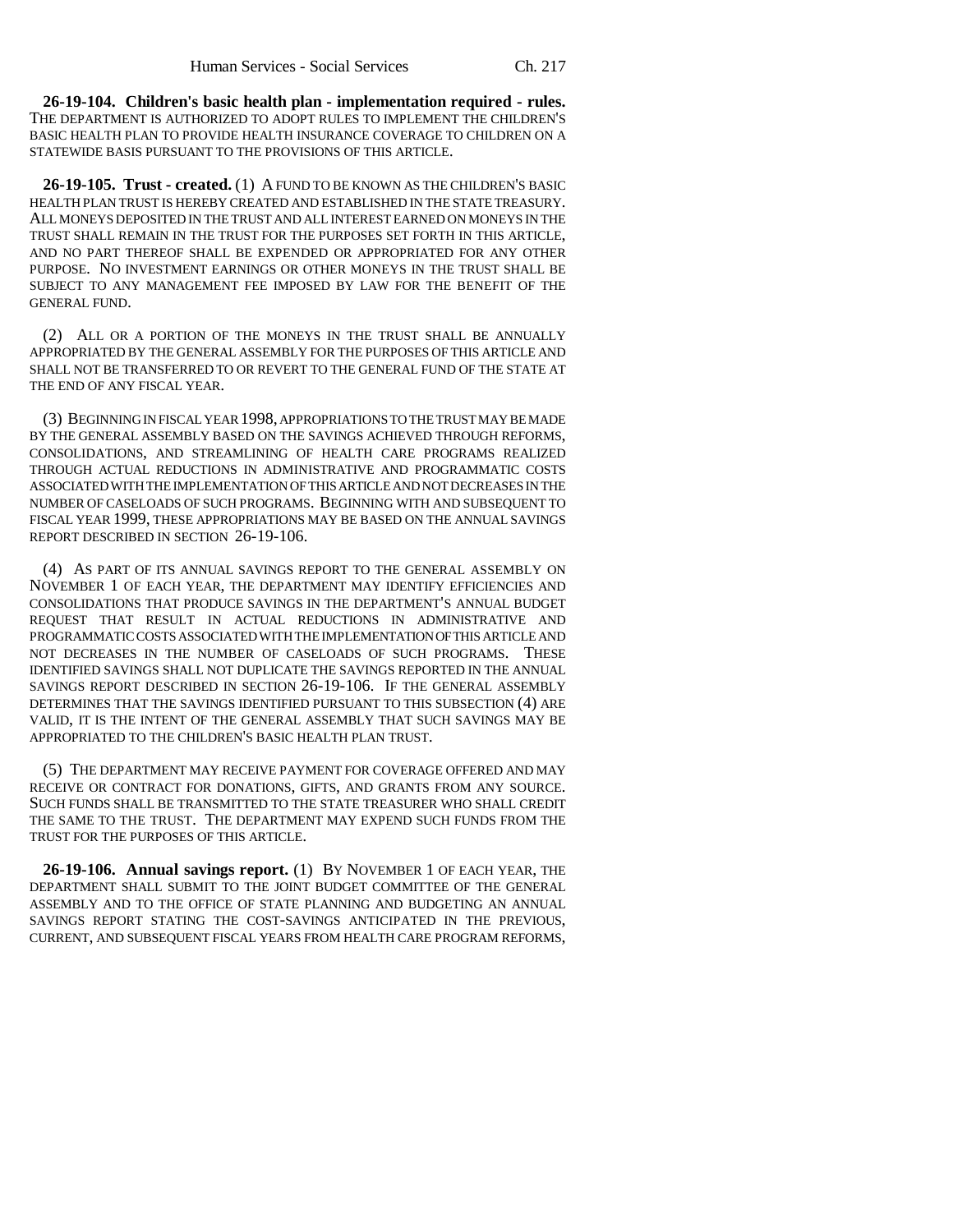**26-19-104. Children's basic health plan - implementation required - rules.** THE DEPARTMENT IS AUTHORIZED TO ADOPT RULES TO IMPLEMENT THE CHILDREN'S BASIC HEALTH PLAN TO PROVIDE HEALTH INSURANCE COVERAGE TO CHILDREN ON A STATEWIDE BASIS PURSUANT TO THE PROVISIONS OF THIS ARTICLE.

**26-19-105. Trust - created.** (1) A FUND TO BE KNOWN AS THE CHILDREN'S BASIC HEALTH PLAN TRUST IS HEREBY CREATED AND ESTABLISHED IN THE STATE TREASURY. ALL MONEYS DEPOSITED IN THE TRUST AND ALL INTEREST EARNED ON MONEYS IN THE TRUST SHALL REMAIN IN THE TRUST FOR THE PURPOSES SET FORTH IN THIS ARTICLE, AND NO PART THEREOF SHALL BE EXPENDED OR APPROPRIATED FOR ANY OTHER PURPOSE. NO INVESTMENT EARNINGS OR OTHER MONEYS IN THE TRUST SHALL BE SUBJECT TO ANY MANAGEMENT FEE IMPOSED BY LAW FOR THE BENEFIT OF THE GENERAL FUND.

(2) ALL OR A PORTION OF THE MONEYS IN THE TRUST SHALL BE ANNUALLY APPROPRIATED BY THE GENERAL ASSEMBLY FOR THE PURPOSES OF THIS ARTICLE AND SHALL NOT BE TRANSFERRED TO OR REVERT TO THE GENERAL FUND OF THE STATE AT THE END OF ANY FISCAL YEAR.

(3) BEGINNING IN FISCAL YEAR 1998, APPROPRIATIONS TO THE TRUST MAY BE MADE BY THE GENERAL ASSEMBLY BASED ON THE SAVINGS ACHIEVED THROUGH REFORMS, CONSOLIDATIONS, AND STREAMLINING OF HEALTH CARE PROGRAMS REALIZED THROUGH ACTUAL REDUCTIONS IN ADMINISTRATIVE AND PROGRAMMATIC COSTS ASSOCIATED WITH THE IMPLEMENTATION OF THIS ARTICLE AND NOT DECREASES IN THE NUMBER OF CASELOADS OF SUCH PROGRAMS. BEGINNING WITH AND SUBSEQUENT TO FISCAL YEAR 1999, THESE APPROPRIATIONS MAY BE BASED ON THE ANNUAL SAVINGS REPORT DESCRIBED IN SECTION 26-19-106.

(4) AS PART OF ITS ANNUAL SAVINGS REPORT TO THE GENERAL ASSEMBLY ON NOVEMBER 1 OF EACH YEAR, THE DEPARTMENT MAY IDENTIFY EFFICIENCIES AND CONSOLIDATIONS THAT PRODUCE SAVINGS IN THE DEPARTMENT'S ANNUAL BUDGET REQUEST THAT RESULT IN ACTUAL REDUCTIONS IN ADMINISTRATIVE AND PROGRAMMATIC COSTS ASSOCIATED WITH THE IMPLEMENTATION OF THIS ARTICLE AND NOT DECREASES IN THE NUMBER OF CASELOADS OF SUCH PROGRAMS. THESE IDENTIFIED SAVINGS SHALL NOT DUPLICATE THE SAVINGS REPORTED IN THE ANNUAL SAVINGS REPORT DESCRIBED IN SECTION 26-19-106. IF THE GENERAL ASSEMBLY DETERMINES THAT THE SAVINGS IDENTIFIED PURSUANT TO THIS SUBSECTION (4) ARE VALID, IT IS THE INTENT OF THE GENERAL ASSEMBLY THAT SUCH SAVINGS MAY BE APPROPRIATED TO THE CHILDREN'S BASIC HEALTH PLAN TRUST.

(5) THE DEPARTMENT MAY RECEIVE PAYMENT FOR COVERAGE OFFERED AND MAY RECEIVE OR CONTRACT FOR DONATIONS, GIFTS, AND GRANTS FROM ANY SOURCE. SUCH FUNDS SHALL BE TRANSMITTED TO THE STATE TREASURER WHO SHALL CREDIT THE SAME TO THE TRUST. THE DEPARTMENT MAY EXPEND SUCH FUNDS FROM THE TRUST FOR THE PURPOSES OF THIS ARTICLE.

**26-19-106. Annual savings report.** (1) BY NOVEMBER 1 OF EACH YEAR, THE DEPARTMENT SHALL SUBMIT TO THE JOINT BUDGET COMMITTEE OF THE GENERAL ASSEMBLY AND TO THE OFFICE OF STATE PLANNING AND BUDGETING AN ANNUAL SAVINGS REPORT STATING THE COST-SAVINGS ANTICIPATED IN THE PREVIOUS, CURRENT, AND SUBSEQUENT FISCAL YEARS FROM HEALTH CARE PROGRAM REFORMS,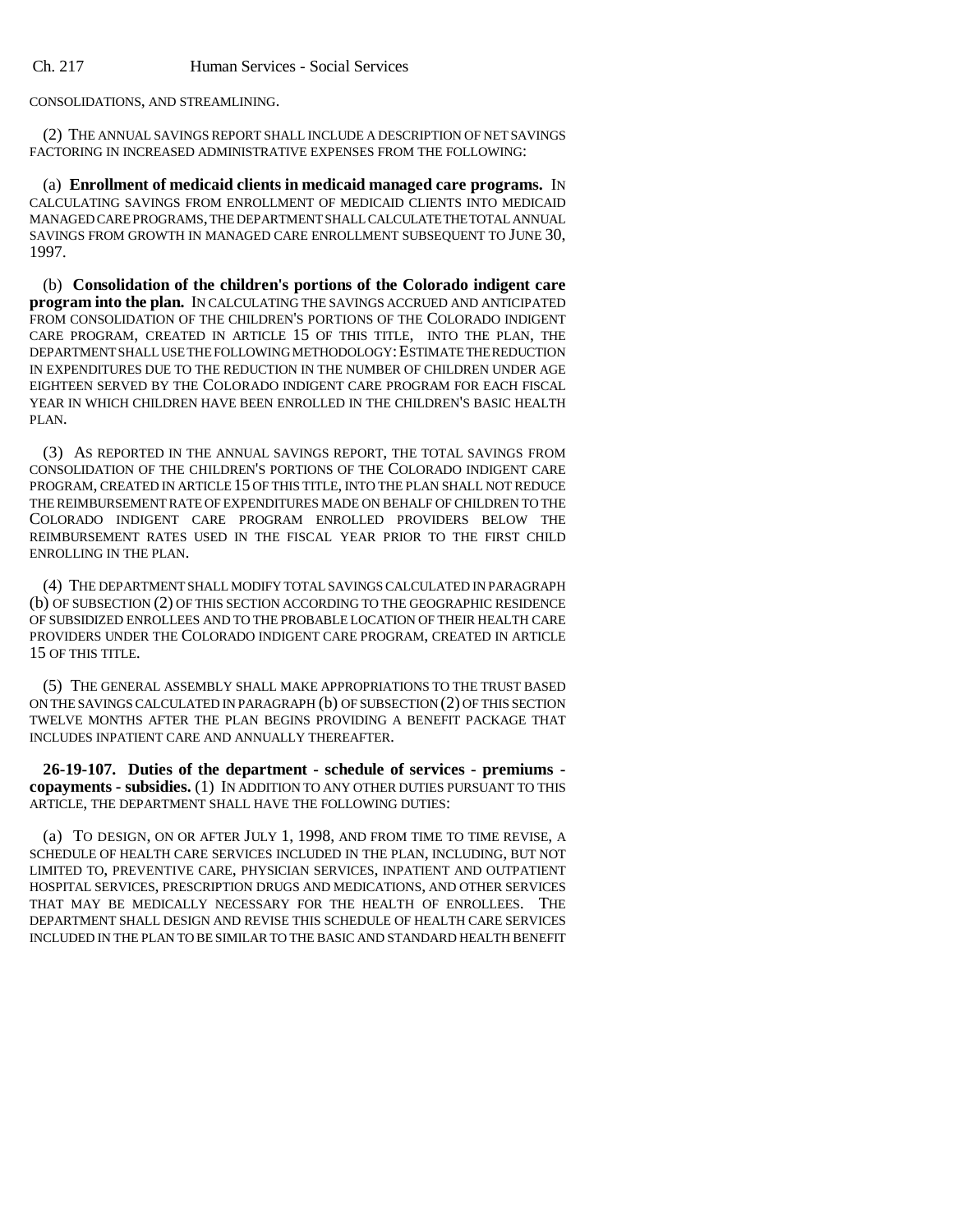CONSOLIDATIONS, AND STREAMLINING.

(2) THE ANNUAL SAVINGS REPORT SHALL INCLUDE A DESCRIPTION OF NET SAVINGS FACTORING IN INCREASED ADMINISTRATIVE EXPENSES FROM THE FOLLOWING:

(a) **Enrollment of medicaid clients in medicaid managed care programs.** IN CALCULATING SAVINGS FROM ENROLLMENT OF MEDICAID CLIENTS INTO MEDICAID MANAGED CARE PROGRAMS, THE DEPARTMENT SHALL CALCULATE THE TOTAL ANNUAL SAVINGS FROM GROWTH IN MANAGED CARE ENROLLMENT SUBSEQUENT TO JUNE 30, 1997.

(b) **Consolidation of the children's portions of the Colorado indigent care program into the plan.** IN CALCULATING THE SAVINGS ACCRUED AND ANTICIPATED FROM CONSOLIDATION OF THE CHILDREN'S PORTIONS OF THE COLORADO INDIGENT CARE PROGRAM, CREATED IN ARTICLE 15 OF THIS TITLE, INTO THE PLAN, THE DEPARTMENT SHALL USE THE FOLLOWING METHODOLOGY:ESTIMATE THE REDUCTION IN EXPENDITURES DUE TO THE REDUCTION IN THE NUMBER OF CHILDREN UNDER AGE EIGHTEEN SERVED BY THE COLORADO INDIGENT CARE PROGRAM FOR EACH FISCAL YEAR IN WHICH CHILDREN HAVE BEEN ENROLLED IN THE CHILDREN'S BASIC HEALTH PLAN.

(3) AS REPORTED IN THE ANNUAL SAVINGS REPORT, THE TOTAL SAVINGS FROM CONSOLIDATION OF THE CHILDREN'S PORTIONS OF THE COLORADO INDIGENT CARE PROGRAM, CREATED IN ARTICLE 15 OF THIS TITLE, INTO THE PLAN SHALL NOT REDUCE THE REIMBURSEMENT RATE OF EXPENDITURES MADE ON BEHALF OF CHILDREN TO THE COLORADO INDIGENT CARE PROGRAM ENROLLED PROVIDERS BELOW THE REIMBURSEMENT RATES USED IN THE FISCAL YEAR PRIOR TO THE FIRST CHILD ENROLLING IN THE PLAN.

(4) THE DEPARTMENT SHALL MODIFY TOTAL SAVINGS CALCULATED IN PARAGRAPH (b) OF SUBSECTION (2) OF THIS SECTION ACCORDING TO THE GEOGRAPHIC RESIDENCE OF SUBSIDIZED ENROLLEES AND TO THE PROBABLE LOCATION OF THEIR HEALTH CARE PROVIDERS UNDER THE COLORADO INDIGENT CARE PROGRAM, CREATED IN ARTICLE 15 OF THIS TITLE.

(5) THE GENERAL ASSEMBLY SHALL MAKE APPROPRIATIONS TO THE TRUST BASED ON THE SAVINGS CALCULATED IN PARAGRAPH (b) OF SUBSECTION (2) OF THIS SECTION TWELVE MONTHS AFTER THE PLAN BEGINS PROVIDING A BENEFIT PACKAGE THAT INCLUDES INPATIENT CARE AND ANNUALLY THEREAFTER.

**26-19-107. Duties of the department - schedule of services - premiums copayments - subsidies.** (1) IN ADDITION TO ANY OTHER DUTIES PURSUANT TO THIS ARTICLE, THE DEPARTMENT SHALL HAVE THE FOLLOWING DUTIES:

(a) TO DESIGN, ON OR AFTER JULY 1, 1998, AND FROM TIME TO TIME REVISE, A SCHEDULE OF HEALTH CARE SERVICES INCLUDED IN THE PLAN, INCLUDING, BUT NOT LIMITED TO, PREVENTIVE CARE, PHYSICIAN SERVICES, INPATIENT AND OUTPATIENT HOSPITAL SERVICES, PRESCRIPTION DRUGS AND MEDICATIONS, AND OTHER SERVICES THAT MAY BE MEDICALLY NECESSARY FOR THE HEALTH OF ENROLLEES. THE DEPARTMENT SHALL DESIGN AND REVISE THIS SCHEDULE OF HEALTH CARE SERVICES INCLUDED IN THE PLAN TO BE SIMILAR TO THE BASIC AND STANDARD HEALTH BENEFIT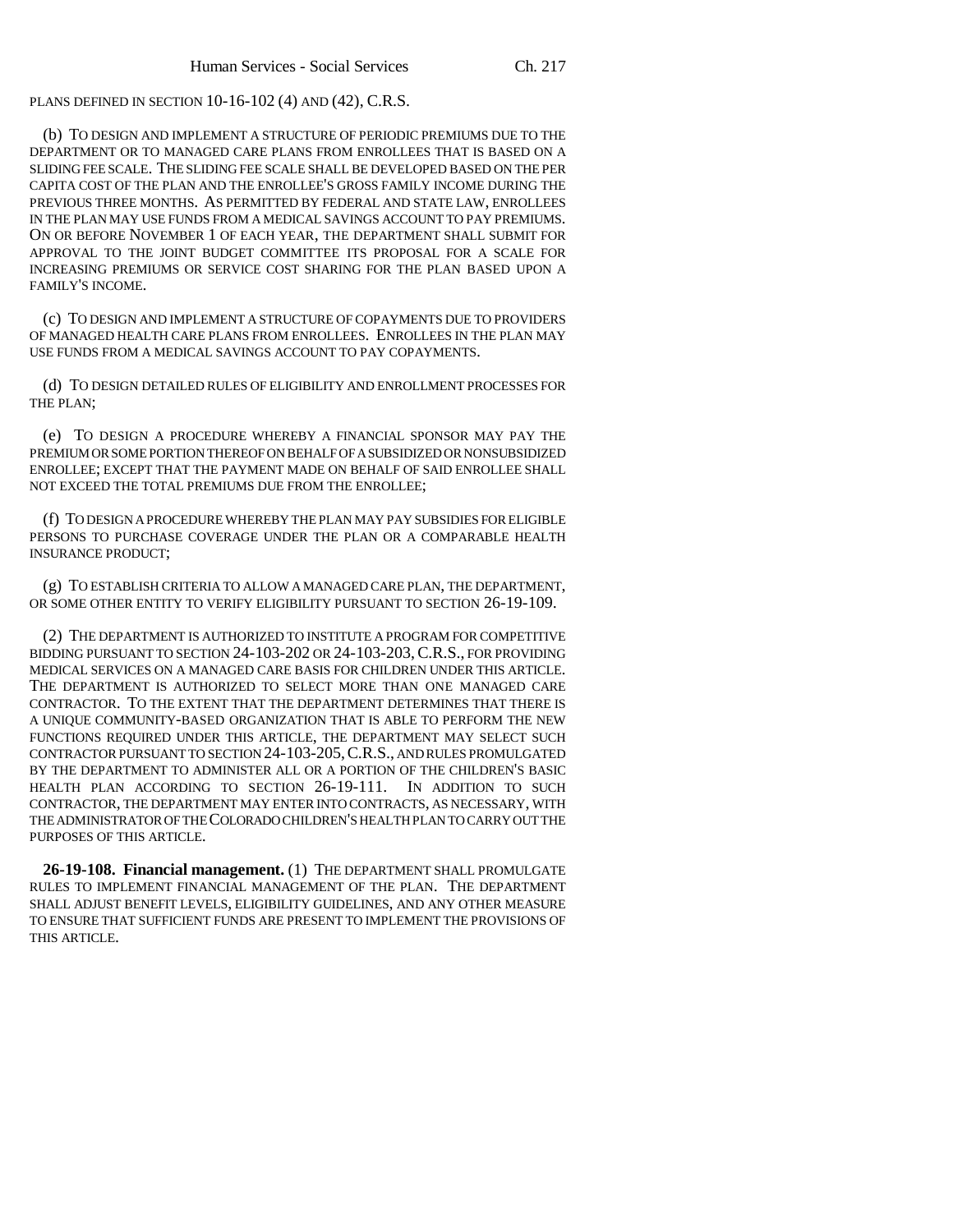PLANS DEFINED IN SECTION 10-16-102 (4) AND (42), C.R.S.

(b) TO DESIGN AND IMPLEMENT A STRUCTURE OF PERIODIC PREMIUMS DUE TO THE DEPARTMENT OR TO MANAGED CARE PLANS FROM ENROLLEES THAT IS BASED ON A SLIDING FEE SCALE. THE SLIDING FEE SCALE SHALL BE DEVELOPED BASED ON THE PER CAPITA COST OF THE PLAN AND THE ENROLLEE'S GROSS FAMILY INCOME DURING THE PREVIOUS THREE MONTHS. AS PERMITTED BY FEDERAL AND STATE LAW, ENROLLEES IN THE PLAN MAY USE FUNDS FROM A MEDICAL SAVINGS ACCOUNT TO PAY PREMIUMS. ON OR BEFORE NOVEMBER 1 OF EACH YEAR, THE DEPARTMENT SHALL SUBMIT FOR APPROVAL TO THE JOINT BUDGET COMMITTEE ITS PROPOSAL FOR A SCALE FOR INCREASING PREMIUMS OR SERVICE COST SHARING FOR THE PLAN BASED UPON A FAMILY'S INCOME.

(c) TO DESIGN AND IMPLEMENT A STRUCTURE OF COPAYMENTS DUE TO PROVIDERS OF MANAGED HEALTH CARE PLANS FROM ENROLLEES. ENROLLEES IN THE PLAN MAY USE FUNDS FROM A MEDICAL SAVINGS ACCOUNT TO PAY COPAYMENTS.

(d) TO DESIGN DETAILED RULES OF ELIGIBILITY AND ENROLLMENT PROCESSES FOR THE PLAN;

(e) TO DESIGN A PROCEDURE WHEREBY A FINANCIAL SPONSOR MAY PAY THE PREMIUM OR SOME PORTION THEREOF ON BEHALF OF A SUBSIDIZED OR NONSUBSIDIZED ENROLLEE; EXCEPT THAT THE PAYMENT MADE ON BEHALF OF SAID ENROLLEE SHALL NOT EXCEED THE TOTAL PREMIUMS DUE FROM THE ENROLLEE;

(f) TO DESIGN A PROCEDURE WHEREBY THE PLAN MAY PAY SUBSIDIES FOR ELIGIBLE PERSONS TO PURCHASE COVERAGE UNDER THE PLAN OR A COMPARABLE HEALTH INSURANCE PRODUCT;

(g) TO ESTABLISH CRITERIA TO ALLOW A MANAGED CARE PLAN, THE DEPARTMENT, OR SOME OTHER ENTITY TO VERIFY ELIGIBILITY PURSUANT TO SECTION 26-19-109.

(2) THE DEPARTMENT IS AUTHORIZED TO INSTITUTE A PROGRAM FOR COMPETITIVE BIDDING PURSUANT TO SECTION 24-103-202 OR 24-103-203,C.R.S., FOR PROVIDING MEDICAL SERVICES ON A MANAGED CARE BASIS FOR CHILDREN UNDER THIS ARTICLE. THE DEPARTMENT IS AUTHORIZED TO SELECT MORE THAN ONE MANAGED CARE CONTRACTOR. TO THE EXTENT THAT THE DEPARTMENT DETERMINES THAT THERE IS A UNIQUE COMMUNITY-BASED ORGANIZATION THAT IS ABLE TO PERFORM THE NEW FUNCTIONS REQUIRED UNDER THIS ARTICLE, THE DEPARTMENT MAY SELECT SUCH CONTRACTOR PURSUANT TO SECTION 24-103-205,C.R.S., AND RULES PROMULGATED BY THE DEPARTMENT TO ADMINISTER ALL OR A PORTION OF THE CHILDREN'S BASIC HEALTH PLAN ACCORDING TO SECTION 26-19-111. IN ADDITION TO SUCH CONTRACTOR, THE DEPARTMENT MAY ENTER INTO CONTRACTS, AS NECESSARY, WITH THE ADMINISTRATOR OF THE COLORADO CHILDREN'S HEALTH PLAN TO CARRY OUT THE PURPOSES OF THIS ARTICLE.

**26-19-108. Financial management.** (1) THE DEPARTMENT SHALL PROMULGATE RULES TO IMPLEMENT FINANCIAL MANAGEMENT OF THE PLAN. THE DEPARTMENT SHALL ADJUST BENEFIT LEVELS, ELIGIBILITY GUIDELINES, AND ANY OTHER MEASURE TO ENSURE THAT SUFFICIENT FUNDS ARE PRESENT TO IMPLEMENT THE PROVISIONS OF THIS ARTICLE.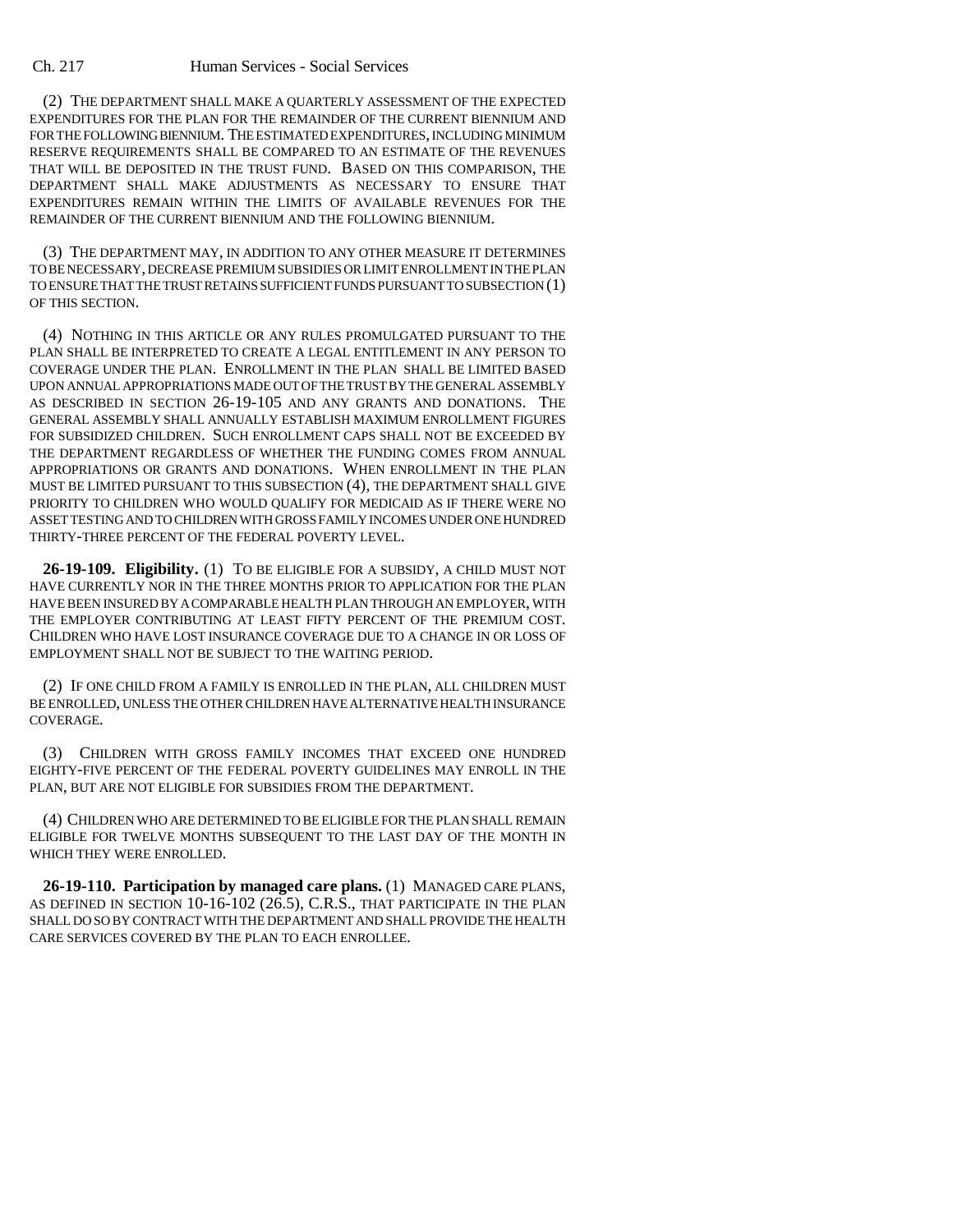## Ch. 217 Human Services - Social Services

(2) THE DEPARTMENT SHALL MAKE A QUARTERLY ASSESSMENT OF THE EXPECTED EXPENDITURES FOR THE PLAN FOR THE REMAINDER OF THE CURRENT BIENNIUM AND FOR THE FOLLOWING BIENNIUM. THE ESTIMATED EXPENDITURES, INCLUDING MINIMUM RESERVE REQUIREMENTS SHALL BE COMPARED TO AN ESTIMATE OF THE REVENUES THAT WILL BE DEPOSITED IN THE TRUST FUND. BASED ON THIS COMPARISON, THE DEPARTMENT SHALL MAKE ADJUSTMENTS AS NECESSARY TO ENSURE THAT EXPENDITURES REMAIN WITHIN THE LIMITS OF AVAILABLE REVENUES FOR THE REMAINDER OF THE CURRENT BIENNIUM AND THE FOLLOWING BIENNIUM.

(3) THE DEPARTMENT MAY, IN ADDITION TO ANY OTHER MEASURE IT DETERMINES TO BE NECESSARY, DECREASE PREMIUM SUBSIDIES OR LIMIT ENROLLMENT IN THE PLAN TO ENSURE THAT THE TRUST RETAINS SUFFICIENT FUNDS PURSUANT TO SUBSECTION (1) OF THIS SECTION.

(4) NOTHING IN THIS ARTICLE OR ANY RULES PROMULGATED PURSUANT TO THE PLAN SHALL BE INTERPRETED TO CREATE A LEGAL ENTITLEMENT IN ANY PERSON TO COVERAGE UNDER THE PLAN. ENROLLMENT IN THE PLAN SHALL BE LIMITED BASED UPON ANNUAL APPROPRIATIONS MADE OUT OF THE TRUST BY THE GENERAL ASSEMBLY AS DESCRIBED IN SECTION 26-19-105 AND ANY GRANTS AND DONATIONS. THE GENERAL ASSEMBLY SHALL ANNUALLY ESTABLISH MAXIMUM ENROLLMENT FIGURES FOR SUBSIDIZED CHILDREN. SUCH ENROLLMENT CAPS SHALL NOT BE EXCEEDED BY THE DEPARTMENT REGARDLESS OF WHETHER THE FUNDING COMES FROM ANNUAL APPROPRIATIONS OR GRANTS AND DONATIONS. WHEN ENROLLMENT IN THE PLAN MUST BE LIMITED PURSUANT TO THIS SUBSECTION (4), THE DEPARTMENT SHALL GIVE PRIORITY TO CHILDREN WHO WOULD QUALIFY FOR MEDICAID AS IF THERE WERE NO ASSET TESTING AND TO CHILDREN WITH GROSS FAMILY INCOMES UNDER ONE HUNDRED THIRTY-THREE PERCENT OF THE FEDERAL POVERTY LEVEL.

**26-19-109. Eligibility.** (1) TO BE ELIGIBLE FOR A SUBSIDY, A CHILD MUST NOT HAVE CURRENTLY NOR IN THE THREE MONTHS PRIOR TO APPLICATION FOR THE PLAN HAVE BEEN INSURED BY A COMPARABLE HEALTH PLAN THROUGH AN EMPLOYER, WITH THE EMPLOYER CONTRIBUTING AT LEAST FIFTY PERCENT OF THE PREMIUM COST. CHILDREN WHO HAVE LOST INSURANCE COVERAGE DUE TO A CHANGE IN OR LOSS OF EMPLOYMENT SHALL NOT BE SUBJECT TO THE WAITING PERIOD.

(2) IF ONE CHILD FROM A FAMILY IS ENROLLED IN THE PLAN, ALL CHILDREN MUST BE ENROLLED, UNLESS THE OTHER CHILDREN HAVE ALTERNATIVE HEALTH INSURANCE COVERAGE.

(3) CHILDREN WITH GROSS FAMILY INCOMES THAT EXCEED ONE HUNDRED EIGHTY-FIVE PERCENT OF THE FEDERAL POVERTY GUIDELINES MAY ENROLL IN THE PLAN, BUT ARE NOT ELIGIBLE FOR SUBSIDIES FROM THE DEPARTMENT.

(4) CHILDREN WHO ARE DETERMINED TO BE ELIGIBLE FOR THE PLAN SHALL REMAIN ELIGIBLE FOR TWELVE MONTHS SUBSEQUENT TO THE LAST DAY OF THE MONTH IN WHICH THEY WERE ENROLLED.

**26-19-110. Participation by managed care plans.** (1) MANAGED CARE PLANS, AS DEFINED IN SECTION 10-16-102 (26.5), C.R.S., THAT PARTICIPATE IN THE PLAN SHALL DO SO BY CONTRACT WITH THE DEPARTMENT AND SHALL PROVIDE THE HEALTH CARE SERVICES COVERED BY THE PLAN TO EACH ENROLLEE.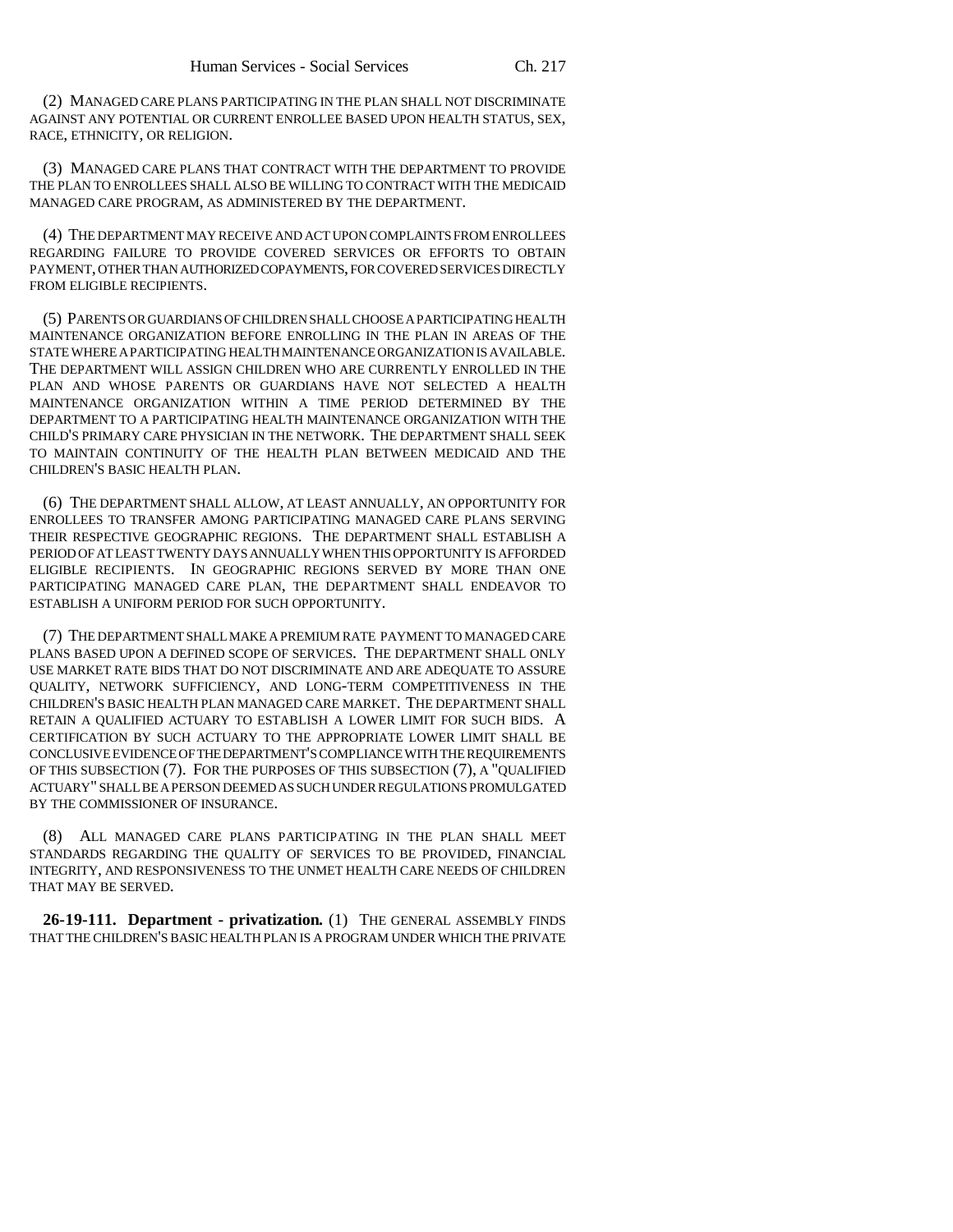(2) MANAGED CARE PLANS PARTICIPATING IN THE PLAN SHALL NOT DISCRIMINATE AGAINST ANY POTENTIAL OR CURRENT ENROLLEE BASED UPON HEALTH STATUS, SEX, RACE, ETHNICITY, OR RELIGION.

(3) MANAGED CARE PLANS THAT CONTRACT WITH THE DEPARTMENT TO PROVIDE THE PLAN TO ENROLLEES SHALL ALSO BE WILLING TO CONTRACT WITH THE MEDICAID MANAGED CARE PROGRAM, AS ADMINISTERED BY THE DEPARTMENT.

(4) THE DEPARTMENT MAY RECEIVE AND ACT UPON COMPLAINTS FROM ENROLLEES REGARDING FAILURE TO PROVIDE COVERED SERVICES OR EFFORTS TO OBTAIN PAYMENT, OTHER THAN AUTHORIZED COPAYMENTS, FOR COVERED SERVICES DIRECTLY FROM ELIGIBLE RECIPIENTS.

(5) PARENTS OR GUARDIANS OF CHILDREN SHALL CHOOSE A PARTICIPATING HEALTH MAINTENANCE ORGANIZATION BEFORE ENROLLING IN THE PLAN IN AREAS OF THE STATE WHERE A PARTICIPATING HEALTH MAINTENANCE ORGANIZATION IS AVAILABLE. THE DEPARTMENT WILL ASSIGN CHILDREN WHO ARE CURRENTLY ENROLLED IN THE PLAN AND WHOSE PARENTS OR GUARDIANS HAVE NOT SELECTED A HEALTH MAINTENANCE ORGANIZATION WITHIN A TIME PERIOD DETERMINED BY THE DEPARTMENT TO A PARTICIPATING HEALTH MAINTENANCE ORGANIZATION WITH THE CHILD'S PRIMARY CARE PHYSICIAN IN THE NETWORK. THE DEPARTMENT SHALL SEEK TO MAINTAIN CONTINUITY OF THE HEALTH PLAN BETWEEN MEDICAID AND THE CHILDREN'S BASIC HEALTH PLAN.

(6) THE DEPARTMENT SHALL ALLOW, AT LEAST ANNUALLY, AN OPPORTUNITY FOR ENROLLEES TO TRANSFER AMONG PARTICIPATING MANAGED CARE PLANS SERVING THEIR RESPECTIVE GEOGRAPHIC REGIONS. THE DEPARTMENT SHALL ESTABLISH A PERIOD OF AT LEAST TWENTY DAYS ANNUALLY WHEN THIS OPPORTUNITY IS AFFORDED ELIGIBLE RECIPIENTS. IN GEOGRAPHIC REGIONS SERVED BY MORE THAN ONE PARTICIPATING MANAGED CARE PLAN, THE DEPARTMENT SHALL ENDEAVOR TO ESTABLISH A UNIFORM PERIOD FOR SUCH OPPORTUNITY.

(7) THE DEPARTMENT SHALL MAKE A PREMIUM RATE PAYMENT TO MANAGED CARE PLANS BASED UPON A DEFINED SCOPE OF SERVICES. THE DEPARTMENT SHALL ONLY USE MARKET RATE BIDS THAT DO NOT DISCRIMINATE AND ARE ADEQUATE TO ASSURE QUALITY, NETWORK SUFFICIENCY, AND LONG-TERM COMPETITIVENESS IN THE CHILDREN'S BASIC HEALTH PLAN MANAGED CARE MARKET. THE DEPARTMENT SHALL RETAIN A QUALIFIED ACTUARY TO ESTABLISH A LOWER LIMIT FOR SUCH BIDS. A CERTIFICATION BY SUCH ACTUARY TO THE APPROPRIATE LOWER LIMIT SHALL BE CONCLUSIVE EVIDENCE OF THE DEPARTMENT'S COMPLIANCE WITH THE REQUIREMENTS OF THIS SUBSECTION (7). FOR THE PURPOSES OF THIS SUBSECTION (7), A "QUALIFIED ACTUARY" SHALL BE A PERSON DEEMED AS SUCH UNDER REGULATIONS PROMULGATED BY THE COMMISSIONER OF INSURANCE.

(8) ALL MANAGED CARE PLANS PARTICIPATING IN THE PLAN SHALL MEET STANDARDS REGARDING THE QUALITY OF SERVICES TO BE PROVIDED, FINANCIAL INTEGRITY, AND RESPONSIVENESS TO THE UNMET HEALTH CARE NEEDS OF CHILDREN THAT MAY BE SERVED.

**26-19-111. Department - privatization.** (1) THE GENERAL ASSEMBLY FINDS THAT THE CHILDREN'S BASIC HEALTH PLAN IS A PROGRAM UNDER WHICH THE PRIVATE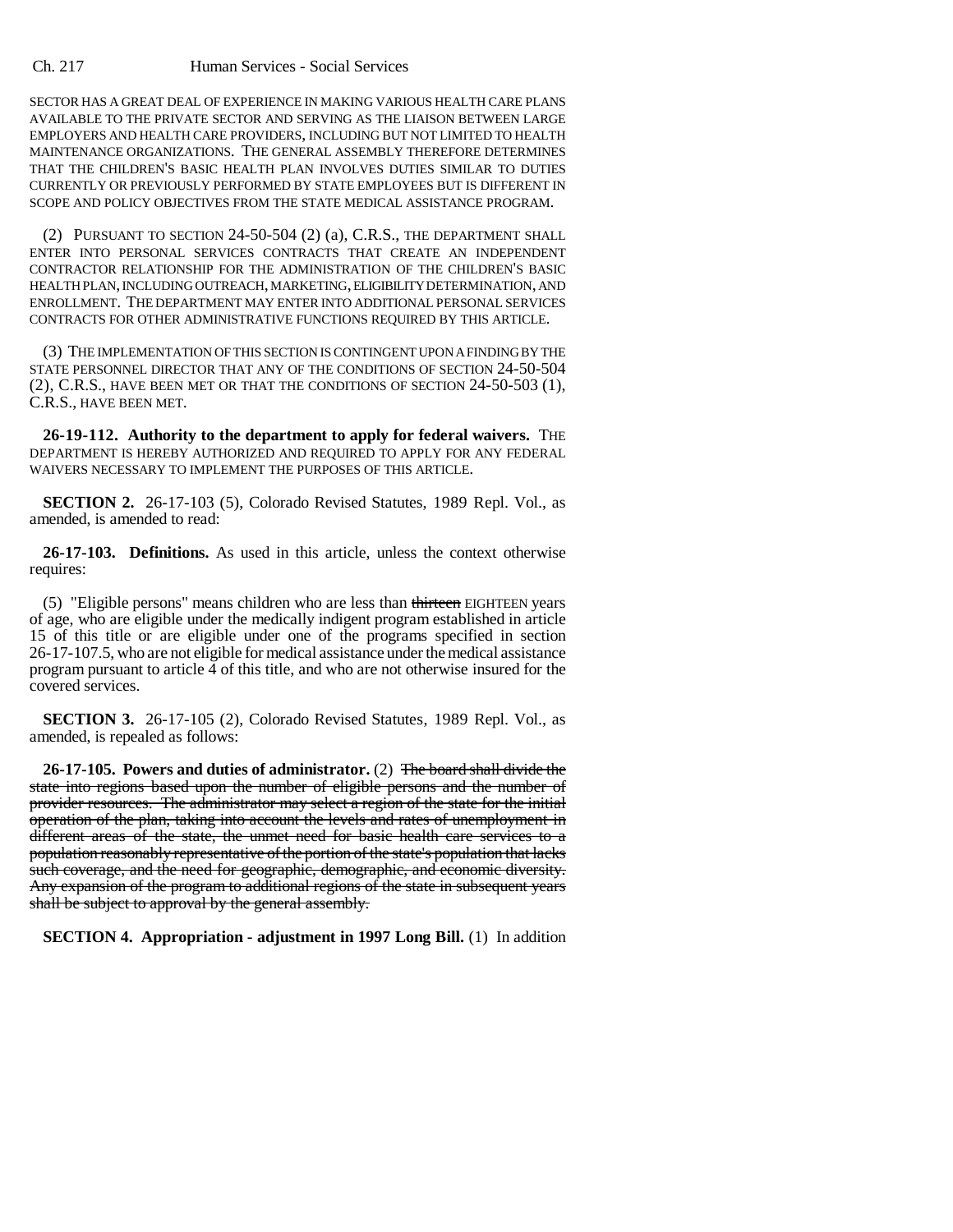SECTOR HAS A GREAT DEAL OF EXPERIENCE IN MAKING VARIOUS HEALTH CARE PLANS AVAILABLE TO THE PRIVATE SECTOR AND SERVING AS THE LIAISON BETWEEN LARGE EMPLOYERS AND HEALTH CARE PROVIDERS, INCLUDING BUT NOT LIMITED TO HEALTH MAINTENANCE ORGANIZATIONS. THE GENERAL ASSEMBLY THEREFORE DETERMINES THAT THE CHILDREN'S BASIC HEALTH PLAN INVOLVES DUTIES SIMILAR TO DUTIES CURRENTLY OR PREVIOUSLY PERFORMED BY STATE EMPLOYEES BUT IS DIFFERENT IN SCOPE AND POLICY OBJECTIVES FROM THE STATE MEDICAL ASSISTANCE PROGRAM.

(2) PURSUANT TO SECTION 24-50-504 (2) (a), C.R.S., THE DEPARTMENT SHALL ENTER INTO PERSONAL SERVICES CONTRACTS THAT CREATE AN INDEPENDENT CONTRACTOR RELATIONSHIP FOR THE ADMINISTRATION OF THE CHILDREN'S BASIC HEALTH PLAN, INCLUDING OUTREACH, MARKETING, ELIGIBILITY DETERMINATION, AND ENROLLMENT. THE DEPARTMENT MAY ENTER INTO ADDITIONAL PERSONAL SERVICES CONTRACTS FOR OTHER ADMINISTRATIVE FUNCTIONS REQUIRED BY THIS ARTICLE.

(3) THE IMPLEMENTATION OF THIS SECTION IS CONTINGENT UPON A FINDING BY THE STATE PERSONNEL DIRECTOR THAT ANY OF THE CONDITIONS OF SECTION 24-50-504 (2), C.R.S., HAVE BEEN MET OR THAT THE CONDITIONS OF SECTION 24-50-503 (1), C.R.S., HAVE BEEN MET.

**26-19-112. Authority to the department to apply for federal waivers.** THE DEPARTMENT IS HEREBY AUTHORIZED AND REQUIRED TO APPLY FOR ANY FEDERAL WAIVERS NECESSARY TO IMPLEMENT THE PURPOSES OF THIS ARTICLE.

**SECTION 2.** 26-17-103 (5), Colorado Revised Statutes, 1989 Repl. Vol., as amended, is amended to read:

**26-17-103. Definitions.** As used in this article, unless the context otherwise requires:

(5) "Eligible persons" means children who are less than thirteen EIGHTEEN years of age, who are eligible under the medically indigent program established in article 15 of this title or are eligible under one of the programs specified in section 26-17-107.5, who are not eligible for medical assistance under the medical assistance program pursuant to article 4 of this title, and who are not otherwise insured for the covered services.

**SECTION 3.** 26-17-105 (2), Colorado Revised Statutes, 1989 Repl. Vol., as amended, is repealed as follows:

**26-17-105. Powers and duties of administrator.** (2) The board shall divide the state into regions based upon the number of eligible persons and the number of provider resources. The administrator may select a region of the state for the initial operation of the plan, taking into account the levels and rates of unemployment in different areas of the state, the unmet need for basic health care services to a population reasonably representative of the portion of the state's population that lacks such coverage, and the need for geographic, demographic, and economic diversity. Any expansion of the program to additional regions of the state in subsequent years shall be subject to approval by the general assembly.

**SECTION 4. Appropriation - adjustment in 1997 Long Bill.** (1) In addition